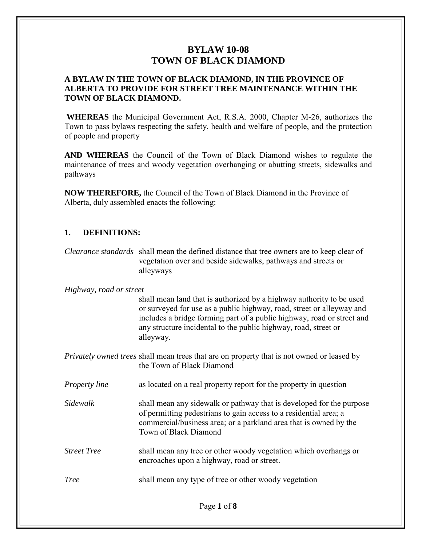### **A BYLAW IN THE TOWN OF BLACK DIAMOND, IN THE PROVINCE OF ALBERTA TO PROVIDE FOR STREET TREE MAINTENANCE WITHIN THE TOWN OF BLACK DIAMOND.**

**WHEREAS** the Municipal Government Act, R.S.A. 2000, Chapter M-26, authorizes the Town to pass bylaws respecting the safety, health and welfare of people, and the protection of people and property

**AND WHEREAS** the Council of the Town of Black Diamond wishes to regulate the maintenance of trees and woody vegetation overhanging or abutting streets, sidewalks and pathways

**NOW THEREFORE,** the Council of the Town of Black Diamond in the Province of Alberta, duly assembled enacts the following:

### **1. DEFINITIONS:**

*Clearance standards* shall mean the defined distance that tree owners are to keep clear of vegetation over and beside sidewalks, pathways and streets or alleyways

#### *Highway, road or street*

shall mean land that is authorized by a highway authority to be used or surveyed for use as a public highway, road, street or alleyway and includes a bridge forming part of a public highway, road or street and any structure incidental to the public highway, road, street or alleyway.

*Privately owned trees* shall mean trees that are on property that is not owned or leased by the Town of Black Diamond

*Property line* as located on a real property report for the property in question

*Sidewalk* shall mean any sidewalk or pathway that is developed for the purpose of permitting pedestrians to gain access to a residential area; a commercial/business area; or a parkland area that is owned by the Town of Black Diamond

*Street Tree* shall mean any tree or other woody vegetation which overhangs or encroaches upon a highway, road or street.

*Tree* shall mean any type of tree or other woody vegetation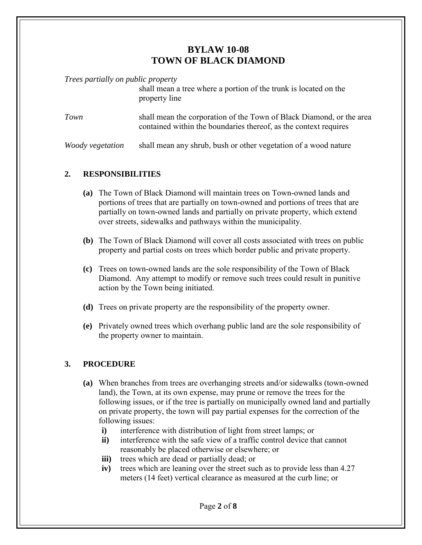*Trees partially on public property*

|                         | shall mean a tree where a portion of the trunk is located on the<br>property line                                                        |
|-------------------------|------------------------------------------------------------------------------------------------------------------------------------------|
| Town                    | shall mean the corporation of the Town of Black Diamond, or the area<br>contained within the boundaries thereof, as the context requires |
| <i>Woody vegetation</i> | shall mean any shrub, bush or other vegetation of a wood nature                                                                          |

### **2. RESPONSIBILITIES**

- **(a)** The Town of Black Diamond will maintain trees on Town-owned lands and portions of trees that are partially on town-owned and portions of trees that are partially on town-owned lands and partially on private property, which extend over streets, sidewalks and pathways within the municipality.
- **(b)** The Town of Black Diamond will cover all costs associated with trees on public property and partial costs on trees which border public and private property.
- **(c)** Trees on town-owned lands are the sole responsibility of the Town of Black Diamond. Any attempt to modify or remove such trees could result in punitive action by the Town being initiated.
- **(d)** Trees on private property are the responsibility of the property owner.
- **(e)** Privately owned trees which overhang public land are the sole responsibility of the property owner to maintain.

## **3. PROCEDURE**

- **(a)** When branches from trees are overhanging streets and/or sidewalks (town-owned land), the Town, at its own expense, may prune or remove the trees for the following issues, or if the tree is partially on municipally owned land and partially on private property, the town will pay partial expenses for the correction of the following issues:
	- **i)** interference with distribution of light from street lamps; or
	- **ii)** interference with the safe view of a traffic control device that cannot reasonably be placed otherwise or elsewhere; or
	- **iii)** trees which are dead or partially dead; or
	- **iv)** trees which are leaning over the street such as to provide less than 4.27 meters (14 feet) vertical clearance as measured at the curb line; or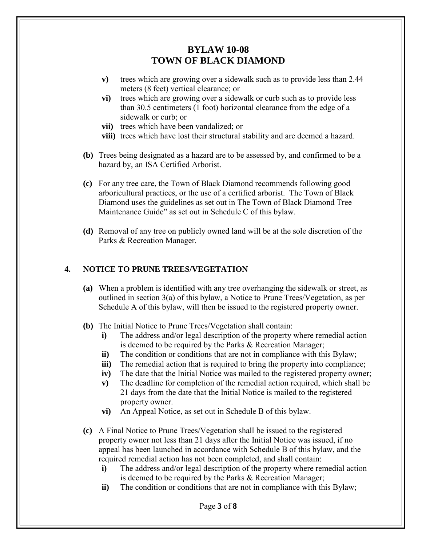- **v)** trees which are growing over a sidewalk such as to provide less than 2.44 meters (8 feet) vertical clearance; or
- **vi)** trees which are growing over a sidewalk or curb such as to provide less than 30.5 centimeters (1 foot) horizontal clearance from the edge of a sidewalk or curb; or
- **vii)** trees which have been vandalized; or
- **viii)** trees which have lost their structural stability and are deemed a hazard.
- **(b)** Trees being designated as a hazard are to be assessed by, and confirmed to be a hazard by, an ISA Certified Arborist.
- **(c)** For any tree care, the Town of Black Diamond recommends following good arboricultural practices, or the use of a certified arborist. The Town of Black Diamond uses the guidelines as set out in The Town of Black Diamond Tree Maintenance Guide" as set out in Schedule C of this bylaw.
- **(d)** Removal of any tree on publicly owned land will be at the sole discretion of the Parks & Recreation Manager.

### **4. NOTICE TO PRUNE TREES/VEGETATION**

- **(a)** When a problem is identified with any tree overhanging the sidewalk or street, as outlined in section 3(a) of this bylaw, a Notice to Prune Trees/Vegetation, as per Schedule A of this bylaw, will then be issued to the registered property owner.
- **(b)** The Initial Notice to Prune Trees/Vegetation shall contain:
	- **i)** The address and/or legal description of the property where remedial action is deemed to be required by the Parks & Recreation Manager;
	- **ii)** The condition or conditions that are not in compliance with this Bylaw;
	- **iii)** The remedial action that is required to bring the property into compliance;
	- **iv)** The date that the Initial Notice was mailed to the registered property owner;
	- **v)** The deadline for completion of the remedial action required, which shall be 21 days from the date that the Initial Notice is mailed to the registered property owner.
	- **vi)** An Appeal Notice, as set out in Schedule B of this bylaw.
- **(c)** A Final Notice to Prune Trees/Vegetation shall be issued to the registered property owner not less than 21 days after the Initial Notice was issued, if no appeal has been launched in accordance with Schedule B of this bylaw, and the required remedial action has not been completed, and shall contain:
	- **i)** The address and/or legal description of the property where remedial action is deemed to be required by the Parks & Recreation Manager;
	- **ii)** The condition or conditions that are not in compliance with this Bylaw;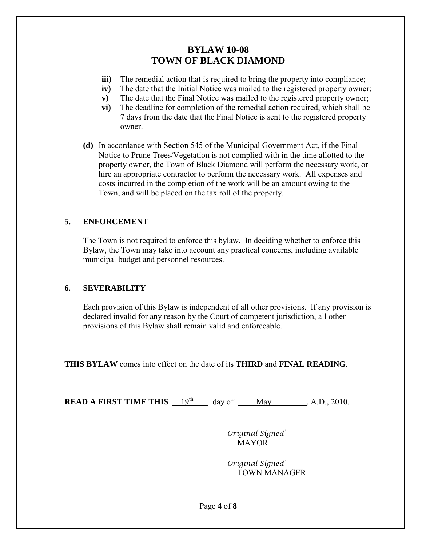- **iii)** The remedial action that is required to bring the property into compliance;
- **iv**) The date that the Initial Notice was mailed to the registered property owner:
- **v)** The date that the Final Notice was mailed to the registered property owner;
- **vi)** The deadline for completion of the remedial action required, which shall be 7 days from the date that the Final Notice is sent to the registered property owner.
- **(d)** In accordance with Section 545 of the Municipal Government Act, if the Final Notice to Prune Trees/Vegetation is not complied with in the time allotted to the property owner, the Town of Black Diamond will perform the necessary work, or hire an appropriate contractor to perform the necessary work. All expenses and costs incurred in the completion of the work will be an amount owing to the Town, and will be placed on the tax roll of the property.

## **5. ENFORCEMENT**

The Town is not required to enforce this bylaw. In deciding whether to enforce this Bylaw, the Town may take into account any practical concerns, including available municipal budget and personnel resources.

### **6. SEVERABILITY**

Each provision of this Bylaw is independent of all other provisions. If any provision is declared invalid for any reason by the Court of competent jurisdiction, all other provisions of this Bylaw shall remain valid and enforceable.

**THIS BYLAW** comes into effect on the date of its **THIRD** and **FINAL READING**.

**READ A FIRST TIME THIS**  $19^{th}$  day of May , A.D., 2010.

 *Original Signed* MAYOR

 *Original Signed* TOWN MANAGER

Page **4** of **8**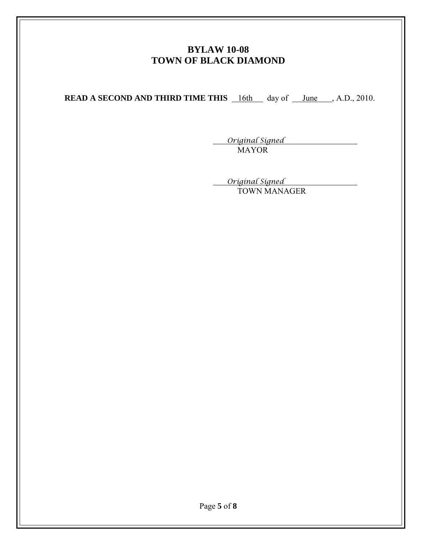**READ A SECOND AND THIRD TIME THIS** 16th day of <u>June</u>, A.D., 2010.

 *Original Signed* MAYOR

 *Original Signed* TOWN MANAGER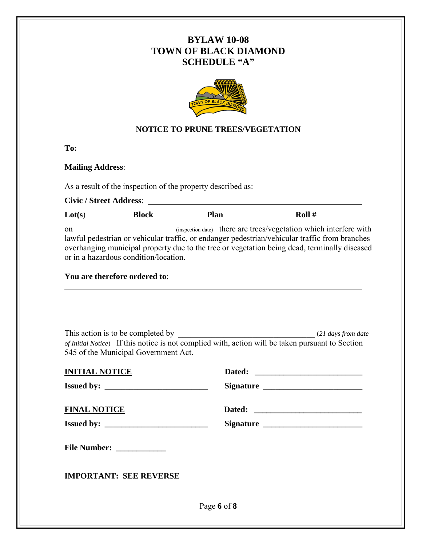

#### **NOTICE TO PRUNE TREES/VEGETATION**

**To:** 

**Mailing Address**:

As a result of the inspection of the property described as:

**Civic / Street Address**:

| $\text{Lot}(s)$ | Block | Plan | Roll |
|-----------------|-------|------|------|
|                 |       |      |      |

on \_\_\_\_\_\_\_\_\_\_\_\_\_\_\_\_\_\_\_\_\_\_\_\_ (inspection date) there are trees/vegetation which interfere with lawful pedestrian or vehicular traffic, or endanger pedestrian/vehicular traffic from branches overhanging municipal property due to the tree or vegetation being dead, terminally diseased or in a hazardous condition/location.

#### **You are therefore ordered to**:

| 545 of the Municipal Government Act. | This action is to be completed by $(21 \text{ days from date})$<br>of Initial Notice) If this notice is not complied with, action will be taken pursuant to Section |
|--------------------------------------|---------------------------------------------------------------------------------------------------------------------------------------------------------------------|
| <b>INITIAL NOTICE</b>                |                                                                                                                                                                     |
|                                      |                                                                                                                                                                     |
| <b>FINAL NOTICE</b>                  |                                                                                                                                                                     |
|                                      |                                                                                                                                                                     |
| File Number: _____________           |                                                                                                                                                                     |

Page **6** of **8**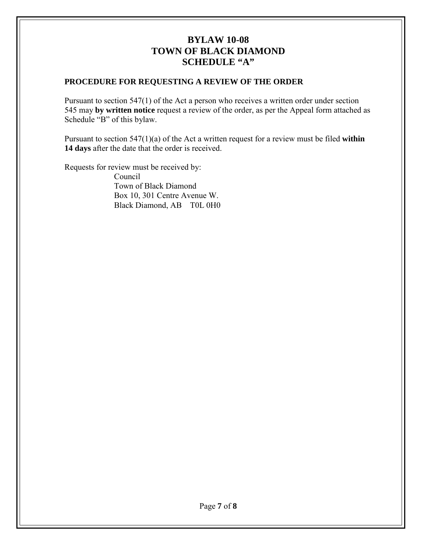## **PROCEDURE FOR REQUESTING A REVIEW OF THE ORDER**

Pursuant to section 547(1) of the Act a person who receives a written order under section 545 may **by written notice** request a review of the order, as per the Appeal form attached as Schedule "B" of this bylaw.

Pursuant to section 547(1)(a) of the Act a written request for a review must be filed **within 14 days** after the date that the order is received.

Requests for review must be received by:

Council Town of Black Diamond Box 10, 301 Centre Avenue W. Black Diamond, AB T0L 0H0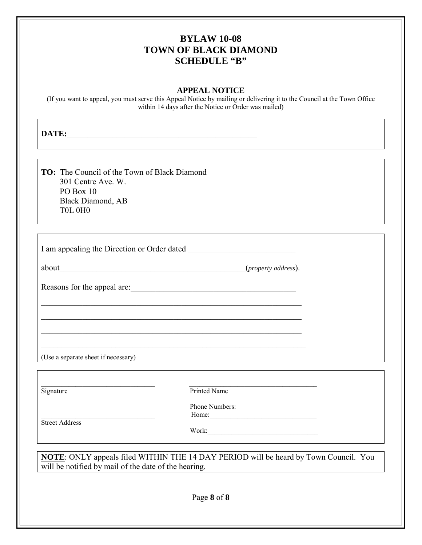#### **APPEAL NOTICE**

(If you want to appeal, you must serve this Appeal Notice by mailing or delivering it to the Council at the Town Office within 14 days after the Notice or Order was mailed)

**DATE:**\_\_\_\_\_\_\_\_\_\_\_\_\_\_\_\_\_\_\_\_\_\_\_\_\_\_\_\_\_\_\_\_\_\_\_\_\_\_\_\_\_\_\_\_\_\_

**TO:** The Council of the Town of Black Diamond 301 Centre Ave. W. PO Box 10 Black Diamond, AB T0L 0H0

I am appealing the Direction or Order dated \_\_\_\_\_\_\_\_\_\_\_\_\_\_\_\_\_\_\_\_\_\_\_\_\_\_

\_\_\_\_\_\_\_\_\_\_\_\_\_\_\_\_\_\_\_\_\_\_\_\_\_\_\_\_\_\_\_\_\_\_\_\_\_\_\_\_\_\_\_\_\_\_\_\_\_\_\_\_\_\_\_\_\_\_\_\_\_\_\_

\_\_\_\_\_\_\_\_\_\_\_\_\_\_\_\_\_\_\_\_\_\_\_\_\_\_\_\_\_\_\_\_\_\_\_\_\_\_\_\_\_\_\_\_\_\_\_\_\_\_\_\_\_\_\_\_\_\_\_\_\_\_\_

\_\_\_\_\_\_\_\_\_\_\_\_\_\_\_\_\_\_\_\_\_\_\_\_\_\_\_\_\_\_\_\_\_\_\_\_\_\_\_\_\_\_\_\_\_\_\_\_\_\_\_\_\_\_\_\_\_\_\_\_\_\_\_

\_\_\_\_\_\_\_\_\_\_\_\_\_\_\_\_\_\_\_\_\_\_\_\_\_\_\_\_\_\_\_\_\_\_\_\_\_\_\_\_\_\_\_\_\_\_\_\_\_\_\_\_\_\_\_\_\_\_\_\_\_\_\_\_

about\_\_\_\_\_\_\_\_\_\_\_\_\_\_\_\_\_\_\_\_\_\_\_\_\_\_\_\_\_\_\_\_\_\_\_\_\_\_\_\_\_\_\_\_\_(*property address*).

Reasons for the appeal are:

(Use a separate sheet if necessary)

\_\_\_\_\_\_\_\_\_\_\_\_\_\_\_\_\_\_\_\_\_\_\_\_\_\_\_\_\_\_\_\_\_ \_\_\_\_\_\_\_\_\_\_\_\_\_\_\_\_\_\_\_\_\_\_\_\_\_\_\_\_\_\_\_\_\_\_\_\_\_ Signature Printed Name

Street Address

Phone Numbers: \_\_\_\_\_\_\_\_\_\_\_\_\_\_\_\_\_\_\_\_\_\_\_\_\_\_\_\_\_\_\_\_\_ Home:\_\_\_\_\_\_\_\_\_\_\_\_\_\_\_\_\_\_\_\_\_\_\_\_\_\_\_\_\_\_\_

Work:\_\_\_\_\_\_\_\_\_\_\_\_\_\_\_\_\_\_\_\_\_\_\_\_\_\_\_\_\_\_\_\_

**NOTE**: ONLY appeals filed WITHIN THE 14 DAY PERIOD will be heard by Town Council. You will be notified by mail of the date of the hearing.

Page **8** of **8**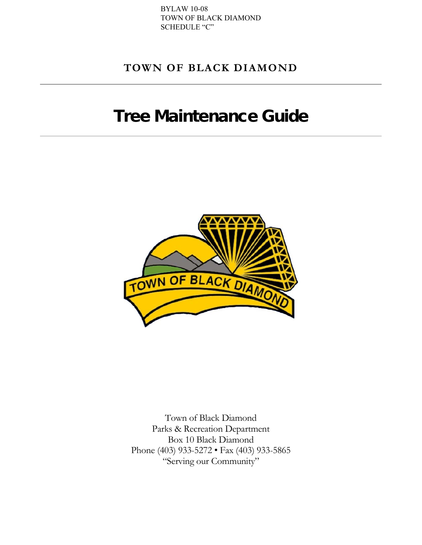# **TOWN OF BLACK DIAMOND**

# Tree Maintenance Guide



Town of Black Diamond Parks & Recreation Department Box 10 Black Diamond Phone (403) 933-5272 • Fax (403) 933-5865 "Serving our Community"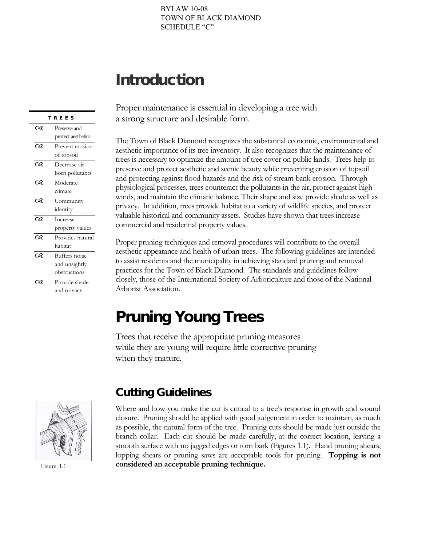# Introduction

|          | REES               |
|----------|--------------------|
| $\infty$ | Preserve and       |
|          | protect aesthetics |
| $\infty$ | Prevent erosion    |
|          | of topsoil         |
| ೧೪       | Decrease air       |
|          | born pollutants    |
| ೧೪       | Moderate           |
|          | climate            |
| ෬        | Community          |
|          | identity           |
| ೧೪       | Increase           |
|          | property values    |
| ෬        | Provides natural   |
|          | habitat            |
| ೧೪       | Buffers noise      |
|          | and unsightly      |
|          | obstructions       |
| ೧೪       | Provide shade      |
|          | and privacy        |

Proper maintenance is essential in developing a tree with a strong structure and desirable form.

The Town of Black Diamond recognizes the substantial economic, environmental and aesthetic importance of its tree inventory. It also recognizes that the maintenance of trees is necessary to optimize the amount of tree cover on public lands. Trees help to preserve and protect aesthetic and scenic beauty while preventing erosion of topsoil and protecting against flood hazards and the risk of stream bank erosion. Through physiological processes, trees counteract the pollutants in the air; protect against high winds, and maintain the climatic balance. Their shape and size provide shade as well as privacy. In addition, trees provide habitat to a variety of wildlife species, and protect valuable historical and community assets. Studies have shown that trees increase commercial and residential property values.

Proper pruning techniques and removal procedures will contribute to the overall aesthetic appearance and health of urban trees. The following guidelines are intended to assist residents and the municipality in achieving standard pruning and removal practices for the Town of Black Diamond. The standards and guidelines follow closely, those of the International Society of Arboriculture and those of the National Arborist Association.

# Pruning Young Trees

Trees that receive the appropriate pruning measures while they are young will require little corrective pruning when they mature.



Figure: 1.1

# Cutting Guidelines

Where and how you make the cut is critical to a tree's response in growth and wound closure. Pruning should be applied with good judgement in order to maintain, as much as possible, the natural form of the tree. Pruning cuts should be made just outside the branch collar. Each cut should be made carefully, at the correct location, leaving a smooth surface with no jagged edges or torn bark (Figures 1.1). Hand pruning shears, lopping shears or pruning saws are acceptable tools for pruning. **Topping is not considered an acceptable pruning technique.**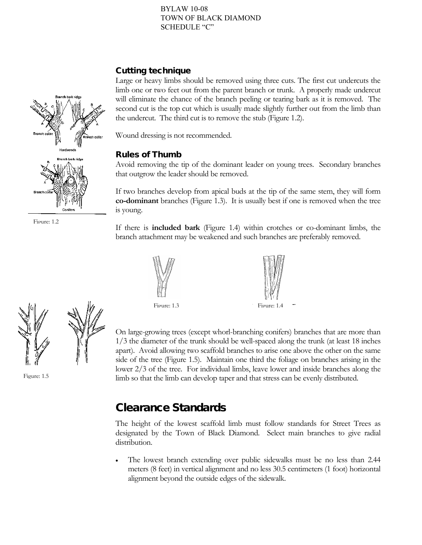### Cutting technique

Large or heavy limbs should be removed using three cuts. The first cut undercuts the limb one or two feet out from the parent branch or trunk. A properly made undercut will eliminate the chance of the branch peeling or tearing bark as it is removed. The second cut is the top cut which is usually made slightly further out from the limb than the undercut. The third cut is to remove the stub (Figure 1.2).

Wound dressing is not recommended.

## Rules of Thumb

Avoid removing the tip of the dominant leader on young trees. Secondary branches that outgrow the leader should be removed.

If two branches develop from apical buds at the tip of the same stem, they will form **co-dominant** branches (Figure 1.3). It is usually best if one is removed when the tree is young.

If there is **included bark** (Figure 1.4) within crotches or co-dominant limbs, the branch attachment may be weakened and such branches are preferably removed.





On large-growing trees (except whorl-branching conifers) branches that are more than 1/3 the diameter of the trunk should be well-spaced along the trunk (at least 18 inches apart). Avoid allowing two scaffold branches to arise one above the other on the same side of the tree (Figure 1.5). Maintain one third the foliage on branches arising in the lower 2/3 of the tree. For individual limbs, leave lower and inside branches along the limb so that the limb can develop taper and that stress can be evenly distributed.

# Clearance Standards

The height of the lowest scaffold limb must follow standards for Street Trees as designated by the Town of Black Diamond. Select main branches to give radial distribution.

The lowest branch extending over public sidewalks must be no less than 2.44 meters (8 feet) in vertical alignment and no less 30.5 centimeters (1 foot) horizontal alignment beyond the outside edges of the sidewalk.



Fioure: 1.2



Figure: 1.5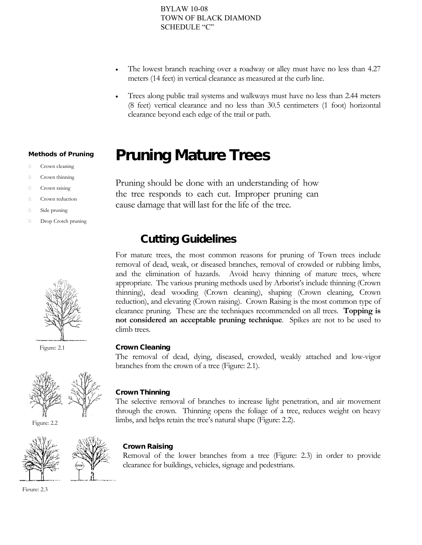- The lowest branch reaching over a roadway or alley must have no less than 4.27 meters (14 feet) in vertical clearance as measured at the curb line.
- Trees along public trail systems and walkways must have no less than 2.44 meters (8 feet) vertical clearance and no less than 30.5 centimeters (1 foot) horizontal clearance beyond each edge of the trail or path.

# Pruning Mature Trees

Pruning should be done with an understanding of how the tree responds to each cut. Improper pruning can cause damage that will last for the life of the tree.

# Cutting Guidelines

For mature trees, the most common reasons for pruning of Town trees include removal of dead, weak, or diseased branches, removal of crowded or rubbing limbs, and the elimination of hazards. Avoid heavy thinning of mature trees, where appropriate. The various pruning methods used by Arborist's include thinning (Crown thinning), dead wooding (Crown cleaning), shaping (Crown cleaning, Crown reduction), and elevating (Crown raising). Crown Raising is the most common type of clearance pruning. These are the techniques recommended on all trees. **Topping is not considered an acceptable pruning technique**. Spikes are not to be used to climb trees.

#### Crown Cleaning

The removal of dead, dying, diseased, crowded, weakly attached and low-vigor branches from the crown of a tree (Figure: 2.1).

### Crown Thinning

The selective removal of branches to increase light penetration, and air movement through the crown. Thinning opens the foliage of a tree, reduces weight on heavy limbs, and helps retain the tree's natural shape (Figure: 2.2).

#### Crown Raising

Removal of the lower branches from a tree (Figure: 2.3) in order to provide clearance for buildings, vehicles, signage and pedestrians.

#### Methods of Pruning

- Crown cleaning
- Crown thinning
- Crown raising
- Crown reduction
- Side pruning
- Drop Crotch pruning



Figure: 2.1



Figure: 2.2





Figure: 2.3

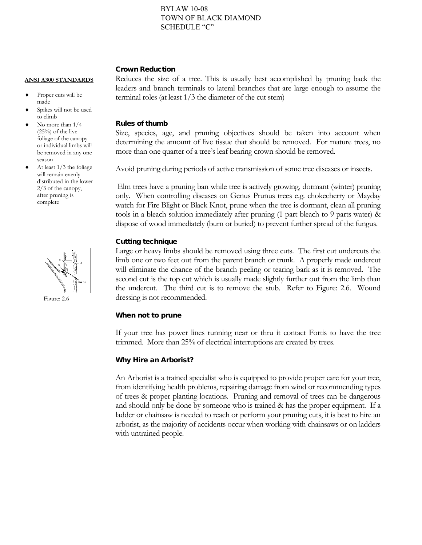#### Crown Reduction

#### **ANSI A300 STANDARDS**

- Proper cuts will be made
- Spikes will not be used to climb
- No more than  $1/4$ (25%) of the live foliage of the canopy or individual limbs will be removed in any one season
- At least  $1/3$  the foliage will remain evenly distributed in the lower 2/3 of the canopy, after pruning is complete



Figure: 2.6

Reduces the size of a tree. This is usually best accomplished by pruning back the leaders and branch terminals to lateral branches that are large enough to assume the terminal roles (at least 1/3 the diameter of the cut stem)

#### Rules of thumb

Size, species, age, and pruning objectives should be taken into account when determining the amount of live tissue that should be removed. For mature trees, no more than one quarter of a tree's leaf bearing crown should be removed.

Avoid pruning during periods of active transmission of some tree diseases or insects.

Elm trees have a pruning ban while tree is actively growing, dormant (winter) pruning only. When controlling diseases on Genus Prunus trees e.g. chokecherry or Mayday watch for Fire Blight or Black Knot, prune when the tree is dormant, clean all pruning tools in a bleach solution immediately after pruning (1 part bleach to 9 parts water) & dispose of wood immediately (burn or buried) to prevent further spread of the fungus.

#### Cutting technique

Large or heavy limbs should be removed using three cuts. The first cut undercuts the limb one or two feet out from the parent branch or trunk. A properly made undercut will eliminate the chance of the branch peeling or tearing bark as it is removed. The second cut is the top cut which is usually made slightly further out from the limb than the undercut. The third cut is to remove the stub. Refer to Figure: 2.6. Wound dressing is not recommended.

#### When not to prune

If your tree has power lines running near or thru it contact Fortis to have the tree trimmed. More than 25% of electrical interruptions are created by trees.

#### Why Hire an Arborist?

An Arborist is a trained specialist who is equipped to provide proper care for your tree, from identifying health problems, repairing damage from wind or recommending types of trees & proper planting locations. Pruning and removal of trees can be dangerous and should only be done by someone who is trained & has the proper equipment. If a ladder or chainsaw is needed to reach or perform your pruning cuts, it is best to hire an arborist, as the majority of accidents occur when working with chainsaws or on ladders with untrained people.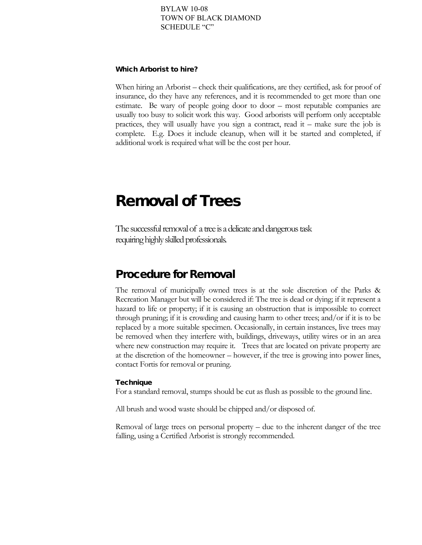#### Which Arborist to hire?

When hiring an Arborist – check their qualifications, are they certified, ask for proof of insurance, do they have any references, and it is recommended to get more than one estimate. Be wary of people going door to door – most reputable companies are usually too busy to solicit work this way. Good arborists will perform only acceptable practices, they will usually have you sign a contract, read it – make sure the job is complete. E.g. Does it include cleanup, when will it be started and completed, if additional work is required what will be the cost per hour.

# Removal of Trees

The successful removal of a tree is a delicate and dangerous task requiring highly skilled professionals.

# Procedure for Removal

The removal of municipally owned trees is at the sole discretion of the Parks & Recreation Manager but will be considered if: The tree is dead or dying; if it represent a hazard to life or property; if it is causing an obstruction that is impossible to correct through pruning; if it is crowding and causing harm to other trees; and/or if it is to be replaced by a more suitable specimen. Occasionally, in certain instances, live trees may be removed when they interfere with, buildings, driveways, utility wires or in an area where new construction may require it. Trees that are located on private property are at the discretion of the homeowner – however, if the tree is growing into power lines, contact Fortis for removal or pruning.

#### **Technique**

For a standard removal, stumps should be cut as flush as possible to the ground line.

All brush and wood waste should be chipped and/or disposed of.

Removal of large trees on personal property – due to the inherent danger of the tree falling, using a Certified Arborist is strongly recommended.